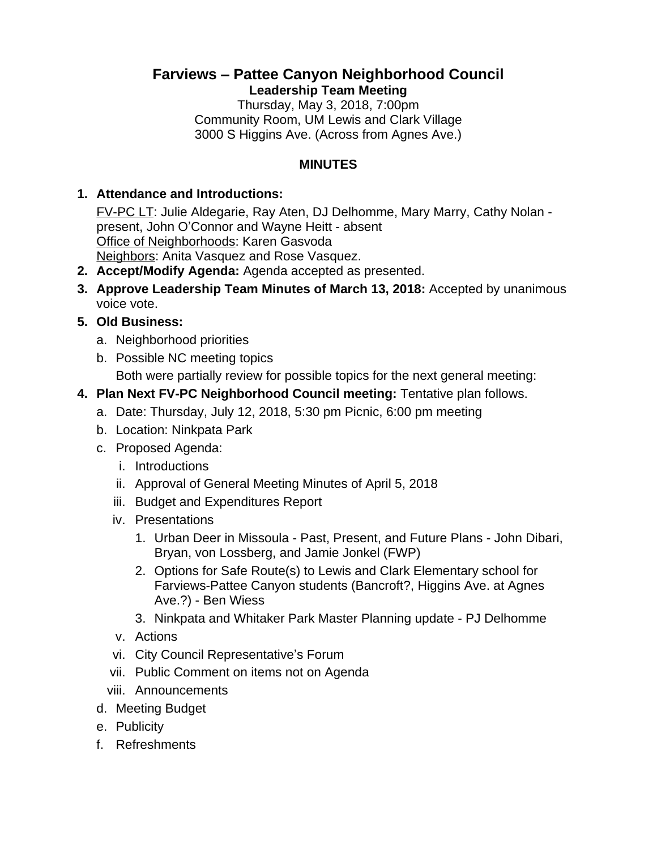# **Farviews – Pattee Canyon Neighborhood Council Leadership Team Meeting**

Thursday, May 3, 2018, 7:00pm Community Room, UM Lewis and Clark Village 3000 S Higgins Ave. (Across from Agnes Ave.)

### **MINUTES**

#### **1. Attendance and Introductions:**

FV-PC LT: Julie Aldegarie, Ray Aten, DJ Delhomme, Mary Marry, Cathy Nolan present, John O'Connor and Wayne Heitt - absent Office of Neighborhoods: Karen Gasvoda Neighbors: Anita Vasquez and Rose Vasquez.

- **2. Accept/Modify Agenda:** Agenda accepted as presented.
- **3. Approve Leadership Team Minutes of March 13, 2018:** Accepted by unanimous voice vote.

## **5. Old Business:**

- a. Neighborhood priorities
- b. Possible NC meeting topics

Both were partially review for possible topics for the next general meeting:

## **4. Plan Next FV-PC Neighborhood Council meeting:** Tentative plan follows.

- a. Date: Thursday, July 12, 2018, 5:30 pm Picnic, 6:00 pm meeting
- b. Location: Ninkpata Park
- c. Proposed Agenda:
	- i. Introductions
	- ii. Approval of General Meeting Minutes of April 5, 2018
	- iii. Budget and Expenditures Report
	- iv. Presentations
		- 1. Urban Deer in Missoula Past, Present, and Future Plans John Dibari, Bryan, von Lossberg, and Jamie Jonkel (FWP)
		- 2. Options for Safe Route(s) to Lewis and Clark Elementary school for Farviews-Pattee Canyon students (Bancroft?, Higgins Ave. at Agnes Ave.?) - Ben Wiess
		- 3. Ninkpata and Whitaker Park Master Planning update PJ Delhomme
	- v. Actions
	- vi. City Council Representative's Forum
	- vii. Public Comment on items not on Agenda
	- viii. Announcements
- d. Meeting Budget
- e. Publicity
- f. Refreshments